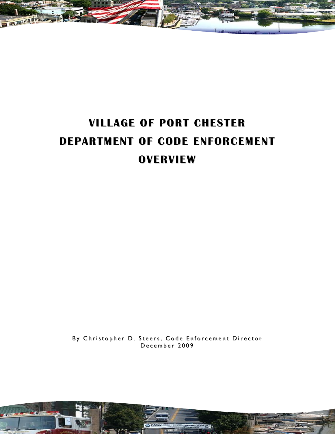

# **VILLAGE OF PORT CHESTER DEPARTMENT OF CODE ENFORCEMENT OVERVIEW**

By Christopher D. Steers, Code Enforcement Director December 2009

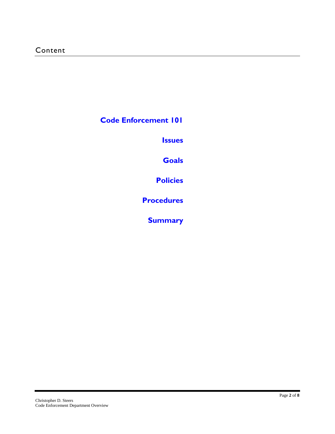**Code Enforcement 101**

**Issues**

**Goals**

**Policies**

**Procedures**

**Summary**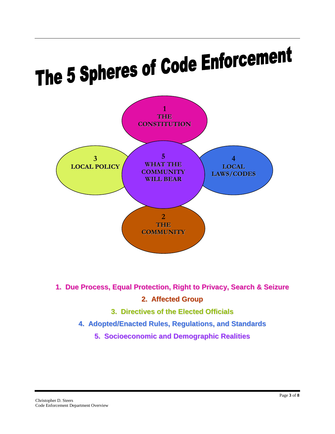# The 5 Spheres of Code Enforcement



- **1. Due Process, Equal Protection, Right to Privacy, Search & Seizure 2. Affected Group**
	- **3. Directives of the Elected Officials**
	- **4. Adopted/Enacted Rules, Regulations, and Standards**
		- **5. Socioeconomic and Demographic Realities**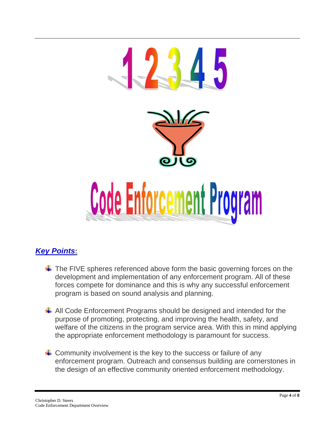

# *Key Points***:**

- $\ddot$  The FIVE spheres referenced above form the basic governing forces on the development and implementation of any enforcement program. All of these forces compete for dominance and this is why any successful enforcement program is based on sound analysis and planning.
- $\downarrow$  All Code Enforcement Programs should be designed and intended for the purpose of promoting, protecting, and improving the health, safety, and welfare of the citizens in the program service area. With this in mind applying the appropriate enforcement methodology is paramount for success.
- $\downarrow$  Community involvement is the key to the success or failure of any enforcement program. Outreach and consensus building are cornerstones in the design of an effective community oriented enforcement methodology.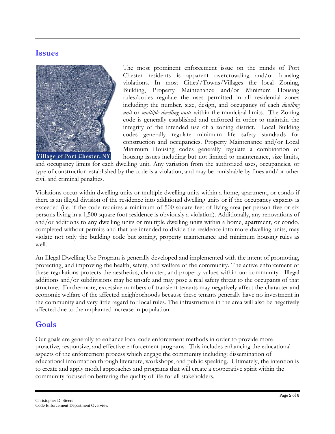# **Issues**



The most prominent enforcement issue on the minds of Port Chester residents is apparent overcrowding and/or housing violations. In most Cities'/Towns/Villages the local Zoning, Building, Property Maintenance and/or Minimum Housing rules/codes regulate the uses permitted in all residential zones including: the number, size, design, and occupancy of each *dwelling unit* or *multiple dwelling units* within the municipal limits. The Zoning code is generally established and enforced in order to maintain the integrity of the intended use of a zoning district. Local Building codes generally regulate minimum life safety standards for construction and occupancies. Property Maintenance and/or Local Minimum Housing codes generally regulate a combination of housing issues including but not limited to maintenance, size limits,

and occupancy limits for each dwelling unit. Any variation from the authorized uses, occupancies, or type of construction established by the code is a violation, and may be punishable by fines and/or other civil and criminal penalties.

Violations occur within dwelling units or multiple dwelling units within a home, apartment, or condo if there is an illegal division of the residence into additional dwelling units or if the occupancy capacity is exceeded (i.e. if the code requires a minimum of 500 square feet of living area per person five or six persons living in a 1,500 square foot residence is obviously a violation). Additionally, any renovations of and/or additions to any dwelling units or multiple dwelling units within a home, apartment, or condo, completed without permits and that are intended to divide the residence into more dwelling units, may violate not only the building code but zoning, property maintenance and minimum housing rules as well.

An Illegal Dwelling Use Program is generally developed and implemented with the intent of promoting, protecting, and improving the health, safety, and welfare of the community. The active enforcement of these regulations protects the aesthetics, character, and property values within our community. Illegal additions and/or subdivisions may be unsafe and may pose a real safety threat to the occupants of that structure. Furthermore, excessive numbers of transient tenants may negatively affect the character and economic welfare of the affected neighborhoods because these tenants generally have no investment in the community and very little regard for local rules. The infrastructure in the area will also be negatively affected due to the unplanned increase in population.

# **Goals**

Our goals are generally to enhance local code enforcement methods in order to provide more proactive, responsive, and effective enforcement programs. This includes enhancing the educational aspects of the enforcement process which engage the community including: dissemination of educational information through literature, workshops, and public speaking. Ultimately, the intention is to create and apply model approaches and programs that will create a cooperative spirit within the community focused on bettering the quality of life for all stakeholders.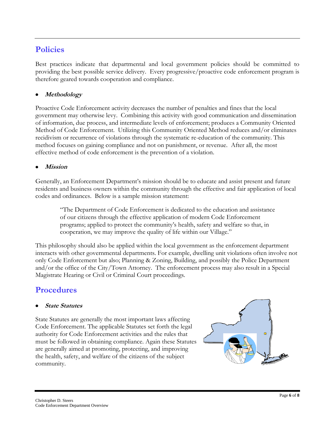# **Policies**

Best practices indicate that departmental and local government policies should be committed to providing the best possible service delivery. Every progressive/proactive code enforcement program is therefore geared towards cooperation and compliance.

#### **Methodology**

Proactive Code Enforcement activity decreases the number of penalties and fines that the local government may otherwise levy. Combining this activity with good communication and dissemination of information, due process, and intermediate levels of enforcement; produces a Community Oriented Method of Code Enforcement. Utilizing this Community Oriented Method reduces and/or eliminates recidivism or recurrence of violations through the systematic re-education of the community. This method focuses on gaining compliance and not on punishment, or revenue. After all, the most effective method of code enforcement is the prevention of a violation.

#### **Mission**

Generally, an Enforcement Department's mission should be to educate and assist present and future residents and business owners within the community through the effective and fair application of local codes and ordinances. Below is a sample mission statement:

"The Department of Code Enforcement is dedicated to the education and assistance of our citizens through the effective application of modern Code Enforcement programs; applied to protect the community's health, safety and welfare so that, in cooperation, we may improve the quality of life within our Village."

This philosophy should also be applied within the local government as the enforcement department interacts with other governmental departments. For example, dwelling unit violations often involve not only Code Enforcement but also; Planning & Zoning, Building, and possibly the Police Department and/or the office of the City/Town Attorney. The enforcement process may also result in a Special Magistrate Hearing or Civil or Criminal Court proceedings.

# **Procedures**

#### **State Statutes**

State Statutes are generally the most important laws affecting Code Enforcement. The applicable Statutes set forth the legal authority for Code Enforcement activities and the rules that must be followed in obtaining compliance. Again these Statutes are generally aimed at promoting, protecting, and improving the health, safety, and welfare of the citizens of the subject community.

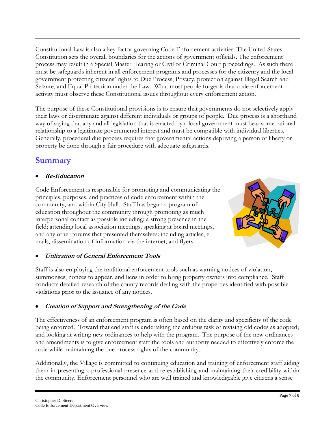Constitutional Law is also a key factor governing Code Enforcement activities. The United States Constitution sets the overall boundaries for the actions of government officials. The enforcement process may result in a Special Master Hearing or Civil or Criminal Court proceedings. As such there must be safeguards inherent in all enforcement programs and processes for the citizenry and the local government protecting citizens' rights to Due Process, Privacy, protection against Illegal Search and Seizure, and Equal Protection under the Law. What most people forget is that code enforcement activity must observe these Constitutional issues throughout every enforcement action.

The purpose of these Constitutional provisions is to ensure that governments do not selectively apply their laws or discriminate against different individuals or groups of people. Due process is a shorthand way of saying that any and all legislation that is enacted by a local government must bear some rational relationship to a legitimate governmental interest and must be compatible with individual liberties. Generally, procedural due process requires that governmental actions depriving a person of liberty or property be done through a fair procedure with adequate safeguards.

# **Summary**

## **Re-Education**

Code Enforcement is responsible for promoting and communicating the principles, purposes, and practices of code enforcement within the community, and within City Hall. Staff has begun a program of education throughout the community through promoting as much interpersonal contact as possible including: a strong presence in the field; attending local association meetings, speaking at board meetings, and any other forums that presented themselves: including articles, emails, dissemination of information via the internet, and flyers.



#### **Utilization of General Enforcement Tools**

Staff is also employing the traditional enforcement tools such as warning notices of violation, summonses, notices to appear, and liens in order to bring property owners into compliance. Staff conducts detailed research of the county records dealing with the properties identified with possible violations prior to the issuance of any notices.

## **Creation of Support and Strengthening of the Code**

The effectiveness of an enforcement program is often based on the clarity and specificity of the code being enforced. Toward that end staff is undertaking the arduous task of revising old codes as adopted; and looking at writing new ordinances to help with the program. The purpose of the new ordinances and amendments is to give enforcement staff the tools and authority needed to effectively enforce the code while maintaining the due process rights of the community.

Additionally, the Village is committed to continuing education and training of enforcement staff aiding them in presenting a professional presence and re-establishing and maintaining their credibility within the community. Enforcement personnel who are well trained and knowledgeable give citizens a sense